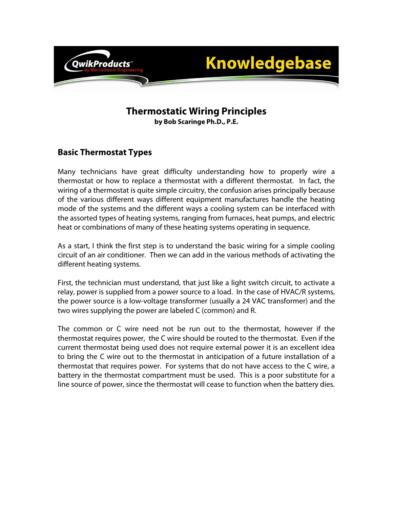

# **Thermostatic Wiring Principles**

**by Bob Scaringe Ph.D., P.E.** 

## **Basic Thermostat Types**

Many technicians have great difficulty understanding how to properly wire a thermostat or how to replace a thermostat with a different thermostat. In fact, the wiring of a thermostat is quite simple circuitry, the confusion arises principally because of the various different ways different equipment manufactures handle the heating mode of the systems and the different ways a cooling system can be interfaced with the assorted types of heating systems, ranging from furnaces, heat pumps, and electric heat or combinations of many of these heating systems operating in sequence.

As a start, I think the first step is to understand the basic wiring for a simple cooling circuit of an air conditioner. Then we can add in the various methods of activating the different heating systems.

First, the technician must understand, that just like a light switch circuit, to activate a relay, power is supplied from a power source to a load. In the case of HVAC/R systems, the power source is a low-voltage transformer (usually a 24 VAC transformer) and the two wires supplying the power are labeled C (common) and R.

The common or C wire need not be run out to the thermostat, however if the thermostat requires power, the C wire should be routed to the thermostat. Even if the current thermostat being used does not require external power it is an excellent idea to bring the C wire out to the thermostat in anticipation of a future installation of a thermostat that requires power. For systems that do not have access to the C wire, a battery in the thermostat compartment must be used. This is a poor substitute for a line source of power, since the thermostat will cease to function when the battery dies.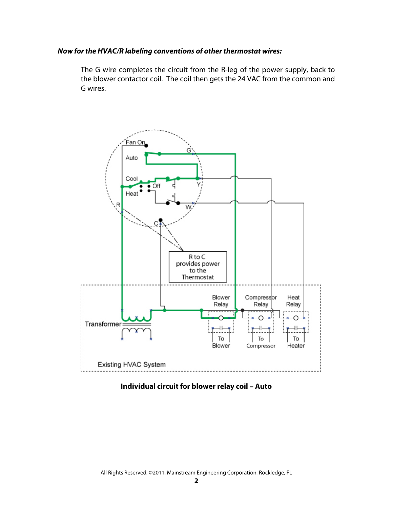#### **Now for the HVAC/R labeling conventions of other thermostat wires:**

The G wire completes the circuit from the R-leg of the power supply, back to the blower contactor coil. The coil then gets the 24 VAC from the common and G wires.



**Individual circuit for blower relay coil – Auto**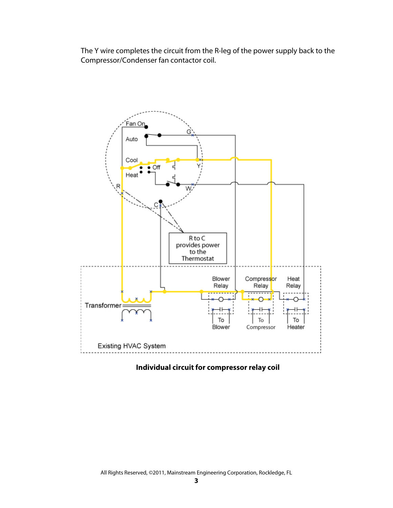The Y wire completes the circuit from the R-leg of the power supply back to the Compressor/Condenser fan contactor coil.



**Individual circuit for compressor relay coil**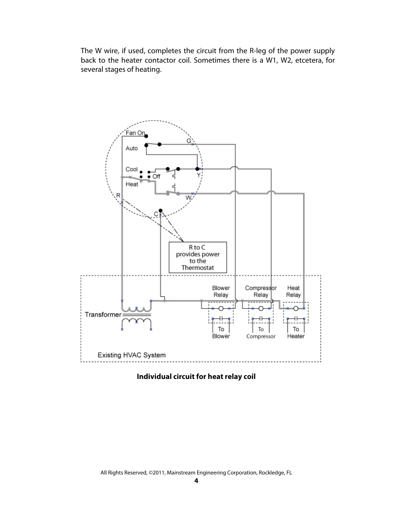The W wire, if used, completes the circuit from the R-leg of the power supply back to the heater contactor coil. Sometimes there is a W1, W2, etcetera, for several stages of heating.



**Individual circuit for heat relay coil**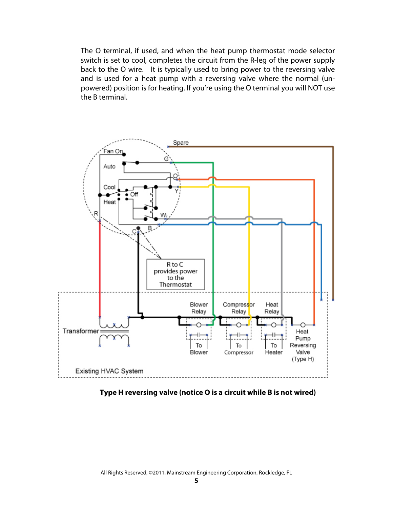The O terminal, if used, and when the heat pump thermostat mode selector switch is set to cool, completes the circuit from the R-leg of the power supply back to the O wire. It is typically used to bring power to the reversing valve and is used for a heat pump with a reversing valve where the normal (unpowered) position is for heating. If you're using the O terminal you will NOT use the B terminal.



**Type H reversing valve (notice O is a circuit while B is not wired)**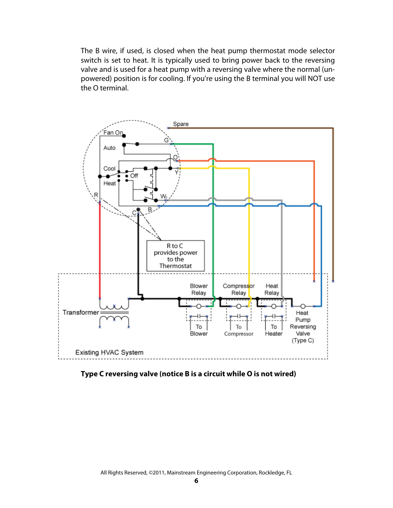The B wire, if used, is closed when the heat pump thermostat mode selector switch is set to heat. It is typically used to bring power back to the reversing valve and is used for a heat pump with a reversing valve where the normal (unpowered) position is for cooling. If you're using the B terminal you will NOT use the O terminal.



**Type C reversing valve (notice B is a circuit while O is not wired)**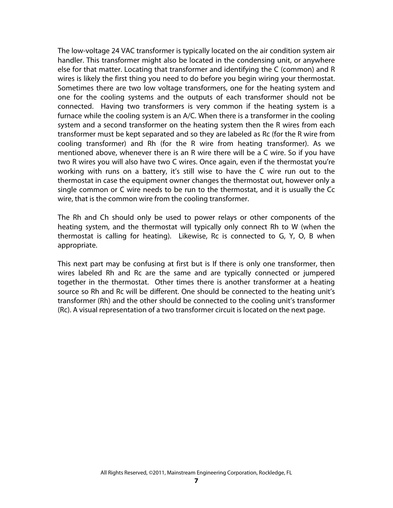The low-voltage 24 VAC transformer is typically located on the air condition system air handler. This transformer might also be located in the condensing unit, or anywhere else for that matter. Locating that transformer and identifying the C (common) and R wires is likely the first thing you need to do before you begin wiring your thermostat. Sometimes there are two low voltage transformers, one for the heating system and one for the cooling systems and the outputs of each transformer should not be connected. Having two transformers is very common if the heating system is a furnace while the cooling system is an A/C. When there is a transformer in the cooling system and a second transformer on the heating system then the R wires from each transformer must be kept separated and so they are labeled as Rc (for the R wire from cooling transformer) and Rh (for the R wire from heating transformer). As we mentioned above, whenever there is an R wire there will be a C wire. So if you have two R wires you will also have two C wires. Once again, even if the thermostat you're working with runs on a battery, it's still wise to have the C wire run out to the thermostat in case the equipment owner changes the thermostat out, however only a single common or C wire needs to be run to the thermostat, and it is usually the Cc wire, that is the common wire from the cooling transformer.

The Rh and Ch should only be used to power relays or other components of the heating system, and the thermostat will typically only connect Rh to W (when the thermostat is calling for heating). Likewise, Rc is connected to G, Y, O, B when appropriate.

This next part may be confusing at first but is If there is only one transformer, then wires labeled Rh and Rc are the same and are typically connected or jumpered together in the thermostat. Other times there is another transformer at a heating source so Rh and Rc will be different. One should be connected to the heating unit's transformer (Rh) and the other should be connected to the cooling unit's transformer (Rc). A visual representation of a two transformer circuit is located on the next page.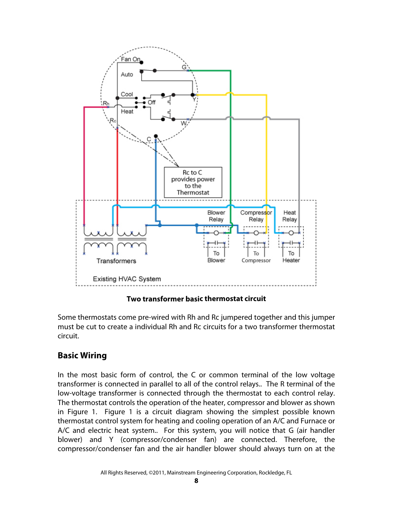

**Two transformer basic thermostat circuit**

Some thermostats come pre-wired with Rh and Rc jumpered together and this jumper must be cut to create a individual Rh and Rc circuits for a two transformer thermostat circuit.

## **Basic Wiring**

In the most basic form of control, the C or common terminal of the low voltage transformer is connected in parallel to all of the control relays.. The R terminal of the low-voltage transformer is connected through the thermostat to each control relay. The thermostat controls the operation of the heater, compressor and blower as shown in Figure 1. Figure 1 is a circuit diagram showing the simplest possible known thermostat control system for heating and cooling operation of an A/C and Furnace or A/C and electric heat system.. For this system, you will notice that G (air handler blower) and Y (compressor/condenser fan) are connected. Therefore, the compressor/condenser fan and the air handler blower should always turn on at the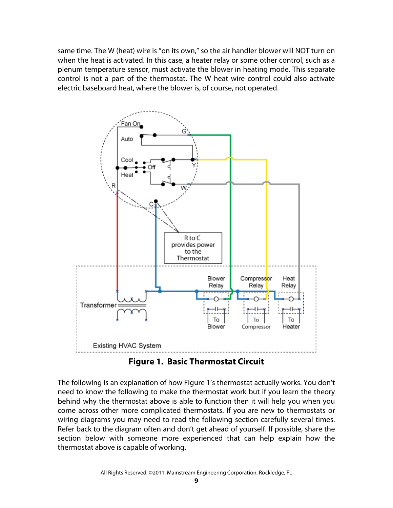same time. The W (heat) wire is "on its own," so the air handler blower will NOT turn on when the heat is activated. In this case, a heater relay or some other control, such as a plenum temperature sensor, must activate the blower in heating mode. This separate control is not a part of the thermostat. The W heat wire control could also activate electric baseboard heat, where the blower is, of course, not operated.



**Figure 1. Basic Thermostat Circuit** 

The following is an explanation of how Figure 1's thermostat actually works. You don't need to know the following to make the thermostat work but if you learn the theory behind why the thermostat above is able to function then it will help you when you come across other more complicated thermostats. If you are new to thermostats or wiring diagrams you may need to read the following section carefully several times. Refer back to the diagram often and don't get ahead of yourself. If possible, share the section below with someone more experienced that can help explain how the thermostat above is capable of working.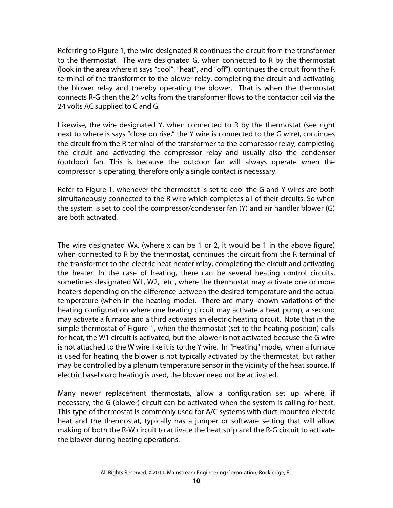Referring to Figure 1, the wire designated R continues the circuit from the transformer to the thermostat. The wire designated G, when connected to R by the thermostat (look in the area where it says "cool", "heat", and "off"), continues the circuit from the R terminal of the transformer to the blower relay, completing the circuit and activating the blower relay and thereby operating the blower. That is when the thermostat connects R-G then the 24 volts from the transformer flows to the contactor coil via the 24 volts AC supplied to C and G.

Likewise, the wire designated Y, when connected to R by the thermostat (see right next to where is says "close on rise," the Y wire is connected to the G wire), continues the circuit from the R terminal of the transformer to the compressor relay, completing the circuit and activating the compressor relay and usually also the condenser (outdoor) fan. This is because the outdoor fan will always operate when the compressor is operating, therefore only a single contact is necessary.

Refer to Figure 1, whenever the thermostat is set to cool the G and Y wires are both simultaneously connected to the R wire which completes all of their circuits. So when the system is set to cool the compressor/condenser fan (Y) and air handler blower (G) are both activated.

The wire designated Wx, (where x can be 1 or 2, it would be 1 in the above figure) when connected to R by the thermostat, continues the circuit from the R terminal of the transformer to the electric heat heater relay, completing the circuit and activating the heater. In the case of heating, there can be several heating control circuits, sometimes designated W1, W2, etc., where the thermostat may activate one or more heaters depending on the difference between the desired temperature and the actual temperature (when in the heating mode). There are many known variations of the heating configuration where one heating circuit may activate a heat pump, a second may activate a furnace and a third activates an electric heating circuit. Note that in the simple thermostat of Figure 1, when the thermostat (set to the heating position) calls for heat, the W1 circuit is activated, but the blower is not activated because the G wire is not attached to the W wire like it is to the Y wire. In "Heating" mode, when a furnace is used for heating, the blower is not typically activated by the thermostat, but rather may be controlled by a plenum temperature sensor in the vicinity of the heat source. If electric baseboard heating is used, the blower need not be activated.

Many newer replacement thermostats, allow a configuration set up where, if necessary, the G (blower) circuit can be activated when the system is calling for heat. This type of thermostat is commonly used for A/C systems with duct-mounted electric heat and the thermostat, typically has a jumper or software setting that will allow making of both the R-W circuit to activate the heat strip and the R-G circuit to activate the blower during heating operations.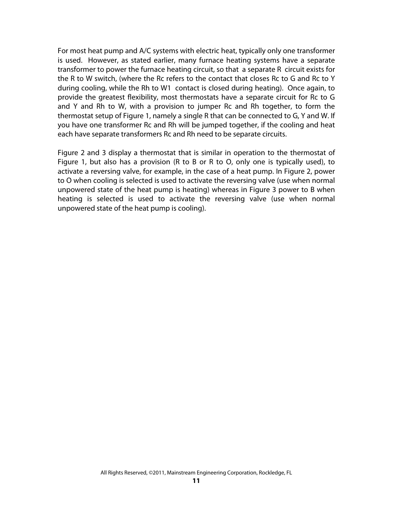For most heat pump and A/C systems with electric heat, typically only one transformer is used. However, as stated earlier, many furnace heating systems have a separate transformer to power the furnace heating circuit, so that a separate R circuit exists for the R to W switch, (where the Rc refers to the contact that closes Rc to G and Rc to Y during cooling, while the Rh to W1 contact is closed during heating). Once again, to provide the greatest flexibility, most thermostats have a separate circuit for Rc to G and Y and Rh to W, with a provision to jumper Rc and Rh together, to form the thermostat setup of Figure 1, namely a single R that can be connected to G, Y and W. If you have one transformer Rc and Rh will be jumped together, if the cooling and heat each have separate transformers Rc and Rh need to be separate circuits.

Figure 2 and 3 display a thermostat that is similar in operation to the thermostat of Figure 1, but also has a provision (R to B or R to O, only one is typically used), to activate a reversing valve, for example, in the case of a heat pump. In Figure 2, power to O when cooling is selected is used to activate the reversing valve (use when normal unpowered state of the heat pump is heating) whereas in Figure 3 power to B when heating is selected is used to activate the reversing valve (use when normal unpowered state of the heat pump is cooling).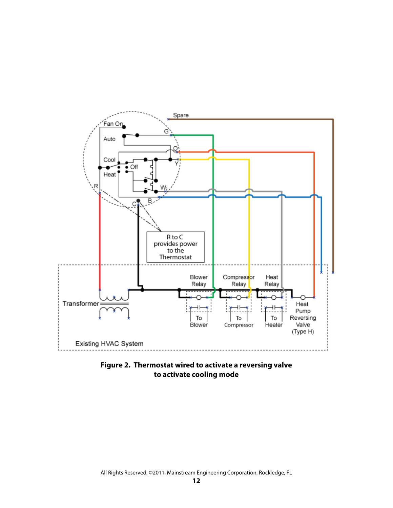

**Figure 2. Thermostat wired to activate a reversing valve to activate cooling mode**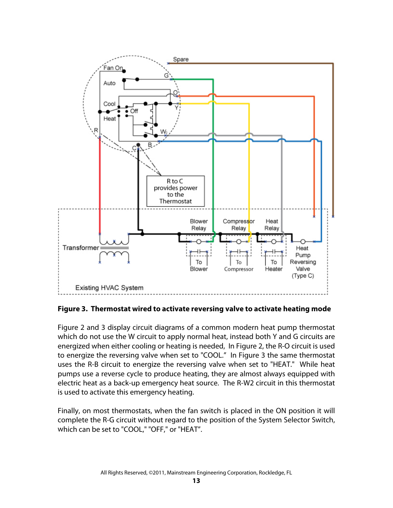

**Figure 3. Thermostat wired to activate reversing valve to activate heating mode**

electric heat as a back-up emergency heat source. The R-W2 circuit in this thermostat is used to activate this emergency heating. Figure 2 and 3 display circuit diagrams of a common modern heat pump thermostat which do not use the W circuit to apply normal heat, instead both Y and G circuits are energized when either cooling or heating is needed, In Figure 2, the R-O circuit is used to energize the reversing valve when set to "COOL." In Figure 3 the same thermostat uses the R-B circuit to energize the reversing valve when set to "HEAT." While heat pumps use a reverse cycle to produce heating, they are almost always equipped with

complete the R-G circuit without regard to the position of the System Selector Switch, which can be set to "COOL," "OFF," or "HEAT". Finally, on most thermostats, when the fan switch is placed in the ON position it will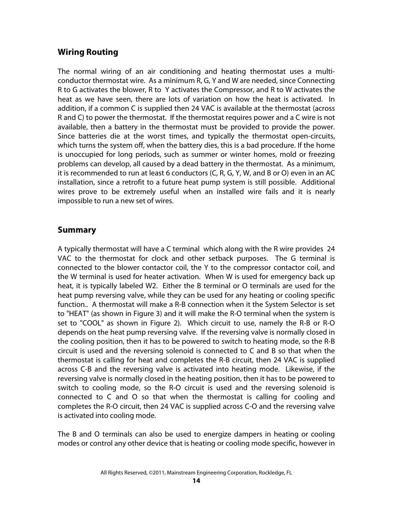## **Wiring Routing**

The normal wiring of an air conditioning and heating thermostat uses a multiconductor thermostat wire. As a minimum R, G, Y and W are needed, since Connecting R to G activates the blower, R to Y activates the Compressor, and R to W activates the heat as we have seen, there are lots of variation on how the heat is activated. In addition, if a common C is supplied then 24 VAC is available at the thermostat (across R and C) to power the thermostat. If the thermostat requires power and a C wire is not available, then a battery in the thermostat must be provided to provide the power. Since batteries die at the worst times, and typically the thermostat open-circuits, which turns the system off, when the battery dies, this is a bad procedure. If the home is unoccupied for long periods, such as summer or winter homes, mold or freezing problems can develop, all caused by a dead battery in the thermostat. As a minimum, it is recommended to run at least 6 conductors (C, R, G, Y, W, and B or O) even in an AC installation, since a retrofit to a future heat pump system is still possible. Additional wires prove to be extremely useful when an installed wire fails and it is nearly impossible to run a new set of wires.

### **Summary**

A typically thermostat will have a C terminal which along with the R wire provides 24 VAC to the thermostat for clock and other setback purposes. The G terminal is connected to the blower contactor coil, the Y to the compressor contactor coil, and the W terminal is used for heater activation. When W is used for emergency back up heat, it is typically labeled W2. Either the B terminal or O terminals are used for the heat pump reversing valve, while they can be used for any heating or cooling specific function.. A thermostat will make a R-B connection when it the System Selector is set to "HEAT" (as shown in Figure 3) and it will make the R-O terminal when the system is set to "COOL" as shown in Figure 2). Which circuit to use, namely the R-B or R-O depends on the heat pump reversing valve. If the reversing valve is normally closed in the cooling position, then it has to be powered to switch to heating mode, so the R-B circuit is used and the reversing solenoid is connected to C and B so that when the thermostat is calling for heat and completes the R-B circuit, then 24 VAC is supplied across C-B and the reversing valve is activated into heating mode. Likewise, if the reversing valve is normally closed in the heating position, then it has to be powered to switch to cooling mode, so the R-O circuit is used and the reversing solenoid is connected to C and O so that when the thermostat is calling for cooling and completes the R-O circuit, then 24 VAC is supplied across C-O and the reversing valve is activated into cooling mode.

The B and O terminals can also be used to energize dampers in heating or cooling modes or control any other device that is heating or cooling mode specific, however in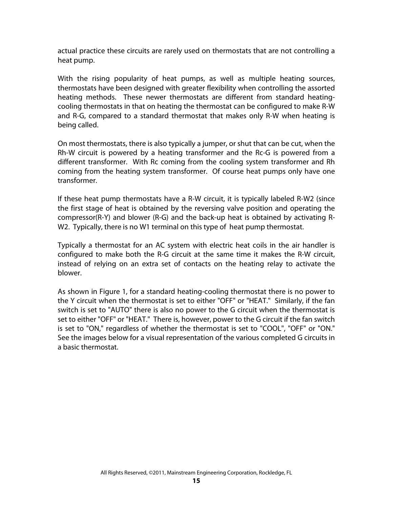actual practice these circuits are rarely used on thermostats that are not controlling a heat pump.

With the rising popularity of heat pumps, as well as multiple heating sources, thermostats have been designed with greater flexibility when controlling the assorted heating methods. These newer thermostats are different from standard heatingcooling thermostats in that on heating the thermostat can be configured to make R-W and R-G, compared to a standard thermostat that makes only R-W when heating is being called.

On most thermostats, there is also typically a jumper, or shut that can be cut, when the Rh-W circuit is powered by a heating transformer and the Rc-G is powered from a different transformer. With Rc coming from the cooling system transformer and Rh coming from the heating system transformer. Of course heat pumps only have one transformer.

If these heat pump thermostats have a R-W circuit, it is typically labeled R-W2 (since the first stage of heat is obtained by the reversing valve position and operating the compressor(R-Y) and blower (R-G) and the back-up heat is obtained by activating R-W2. Typically, there is no W1 terminal on this type of heat pump thermostat.

Typically a thermostat for an AC system with electric heat coils in the air handler is configured to make both the R-G circuit at the same time it makes the R-W circuit, instead of relying on an extra set of contacts on the heating relay to activate the blower.

As shown in Figure 1, for a standard heating-cooling thermostat there is no power to the Y circuit when the thermostat is set to either "OFF" or "HEAT." Similarly, if the fan switch is set to "AUTO" there is also no power to the G circuit when the thermostat is set to either "OFF" or "HEAT." There is, however, power to the G circuit if the fan switch is set to "ON," regardless of whether the thermostat is set to "COOL", "OFF" or "ON." See the images below for a visual representation of the various completed G circuits in a basic thermostat.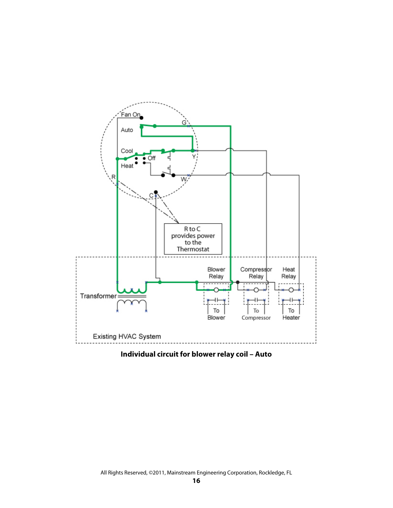

**Individual circuit for blower relay coil – Auto**